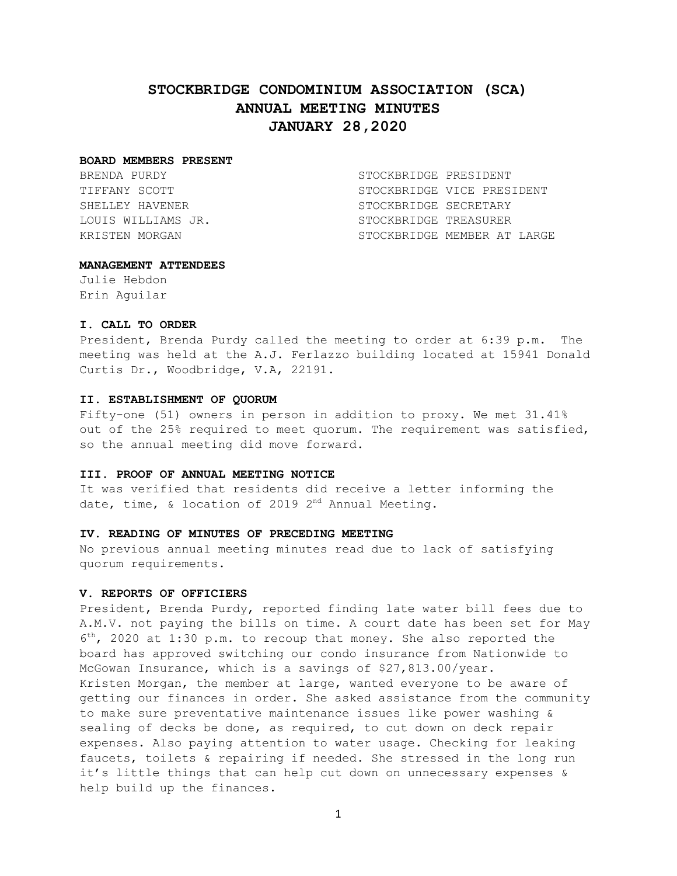# **STOCKBRIDGE CONDOMINIUM ASSOCIATION (SCA) ANNUAL MEETING MINUTES JANUARY 28,2020**

#### **BOARD MEMBERS PRESENT**

BRENDA PURDY STOCKBRIDGE PRESIDENT TIFFANY SCOTT STOCKBRIDGE VICE PRESIDENT SHELLEY HAVENER STOCKBRIDGE SECRETARY LOUIS WILLIAMS JR. STOCKBRIDGE TREASURER KRISTEN MORGAN STOCKBRIDGE MEMBER AT LARGE

#### **MANAGEMENT ATTENDEES**

Julie Hebdon Erin Aguilar

#### **I. CALL TO ORDER**

President, Brenda Purdy called the meeting to order at 6:39 p.m. The meeting was held at the A.J. Ferlazzo building located at 15941 Donald Curtis Dr., Woodbridge, V.A, 22191.

#### **II. ESTABLISHMENT OF QUORUM**

Fifty-one (51) owners in person in addition to proxy. We met 31.41% out of the 25% required to meet quorum. The requirement was satisfied, so the annual meeting did move forward.

## **III. PROOF OF ANNUAL MEETING NOTICE**

It was verified that residents did receive a letter informing the date, time, & location of 2019  $2^{nd}$  Annual Meeting.

## **IV. READING OF MINUTES OF PRECEDING MEETING**

No previous annual meeting minutes read due to lack of satisfying quorum requirements.

## **V. REPORTS OF OFFICIERS**

President, Brenda Purdy, reported finding late water bill fees due to A.M.V. not paying the bills on time. A court date has been set for May 6 th, 2020 at 1:30 p.m. to recoup that money. She also reported the board has approved switching our condo insurance from Nationwide to McGowan Insurance, which is a savings of \$27,813.00/year. Kristen Morgan, the member at large, wanted everyone to be aware of getting our finances in order. She asked assistance from the community to make sure preventative maintenance issues like power washing & sealing of decks be done, as required, to cut down on deck repair expenses. Also paying attention to water usage. Checking for leaking faucets, toilets & repairing if needed. She stressed in the long run it's little things that can help cut down on unnecessary expenses & help build up the finances.